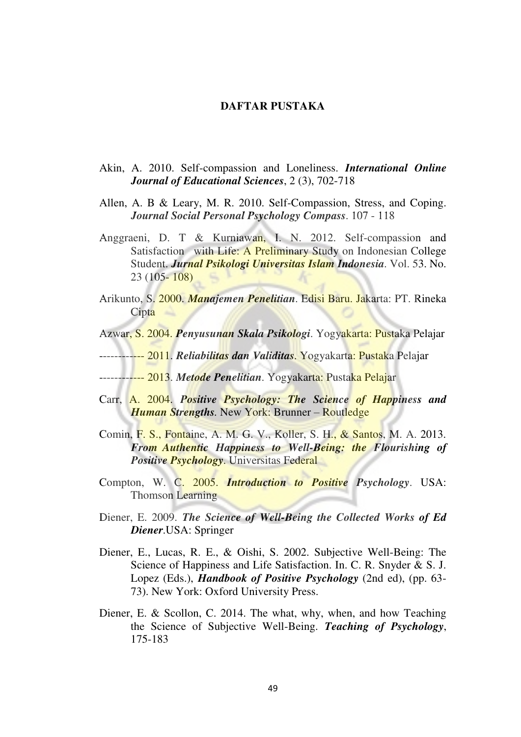## **DAFTAR PUSTAKA**

- Akin, A. 2010. Self-compassion and Loneliness. *International Online Journal of Educational Sciences*, 2 (3), 702-718
- Allen, A. B & Leary, M. R. 2010. Self-Compassion, Stress, and Coping. *Journal Social Personal Psychology Compass*. 107 - 118
- Anggraeni, D. T & Kurniawan, I. N. 2012. Self-compassion and Satisfaction with Life: A Preliminary Study on Indonesian College Student. *Jurnal Psikologi Universitas Islam Indonesia*. Vol. 53. No. 23 (105- 108)
- Arikunto, S. 2000. *Manajemen Penelitian*. Edisi Baru. Jakarta: PT. Rineka **Cipta**
- Azwar, S. 2004. *Penyusunan Skala Psikologi*. Yogyakarta: Pustaka Pelajar
- ------------ 2011. *Reliabilitas dan Validitas*. Yogyakarta: Pustaka Pelajar
- ------------ 2013. *Metode Penelitian*. Yogyakarta: Pustaka Pelajar
- Carr, A. 2004. *Positive Psychology: The Science of Happiness and Human Strengths.* New York: Brunner – Routledge
- Comin, F. S., Fontaine, A. M. G. V., Koller, S. H., & Santos, M. A. 2013. *From Authentic Happiness to Well-Being: the Flourishing of Positive Psychology*. Universitas Federal
- Compton, W. C. 2005. *Introduction to Positive Psychology*. USA: Thomson Learning
- Diener, E. 2009. *The Science of Well-Being the Collected Works of Ed Diener*.USA: Springer
- Diener, E., Lucas, R. E., & Oishi, S. 2002. Subjective Well-Being: The Science of Happiness and Life Satisfaction. In. C. R. Snyder & S. J. Lopez (Eds.), *Handbook of Positive Psychology* (2nd ed), (pp. 63- 73). New York: Oxford University Press.
- Diener, E. & Scollon, C. 2014. The what, why, when, and how Teaching the Science of Subjective Well-Being. *Teaching of Psychology*, 175-183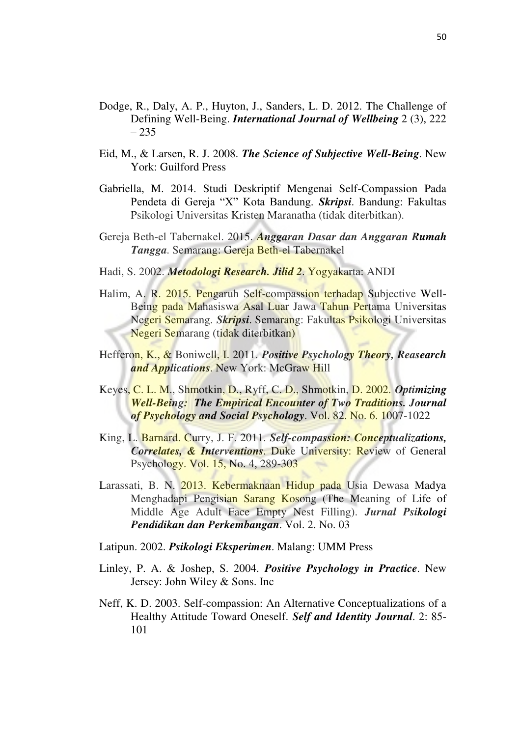- Dodge, R., Daly, A. P., Huyton, J., Sanders, L. D. 2012. The Challenge of Defining Well-Being. *International Journal of Wellbeing* 2 (3), 222 – 235
- Eid, M., & Larsen, R. J. 2008. *The Science of Subjective Well-Being*. New York: Guilford Press
- Gabriella, M. 2014. Studi Deskriptif Mengenai Self-Compassion Pada Pendeta di Gereja "X" Kota Bandung. *Skripsi*. Bandung: Fakultas Psikologi Universitas Kristen Maranatha (tidak diterbitkan).
- Gereja Beth-el Tabernakel. 2015. *Anggaran Dasar dan Anggaran Rumah Tangga*. Semarang: Gereja Beth-el Tabernakel
- Hadi, S. 2002. *Metodologi Research. Jilid 2*. Yogyakarta: ANDI
- Halim, A. R. 2015. Pengaruh Self-compassion terhadap Subjective Well- Being pada Mahasiswa Asal Luar Jawa Tahun Pertama Universitas Negeri Semarang. *Skripsi*. Semarang: Fakultas Psikologi Universitas Negeri Semarang (tidak diterbitkan)
- Hefferon, K., & Boniwell, I. 2011. *Positive Psychology Theory, Reasearch and Applications*. New York: McGraw Hill
- Keyes, C. L. M., Shmotkin, D., Ryff, C. D., Shmotkin, D. 2002. *Optimizing Well-Being: The Empirical Encounter of Two Traditions. Journal of Psychology and Social Psychology*. Vol. 82. No. 6. 1007-1022
- King, L. Barnard. Curry, J. F. 2011. *Self-compassion: Conceptualizations, Correlates, & Interventions*. Duke University: Review of General Psychology. Vol. 15, No. 4, 289-303
- Larassati, B. N. 2013. Kebermaknaan Hidup pada Usia Dewasa Madya Menghadapi Pengisian Sarang Kosong (The Meaning of Life of Middle Age Adult Face Empty Nest Filling). *Jurnal Psikologi Pendidikan dan Perkembangan*. Vol. 2. No. 03
- Latipun. 2002. *Psikologi Eksperimen*. Malang: UMM Press
- Linley, P. A. & Joshep, S. 2004. *Positive Psychology in Practice*. New Jersey: John Wiley & Sons. Inc
- Neff, K. D. 2003. Self-compassion: An Alternative Conceptualizations of a Healthy Attitude Toward Oneself. *Self and Identity Journal*. 2: 85- 101